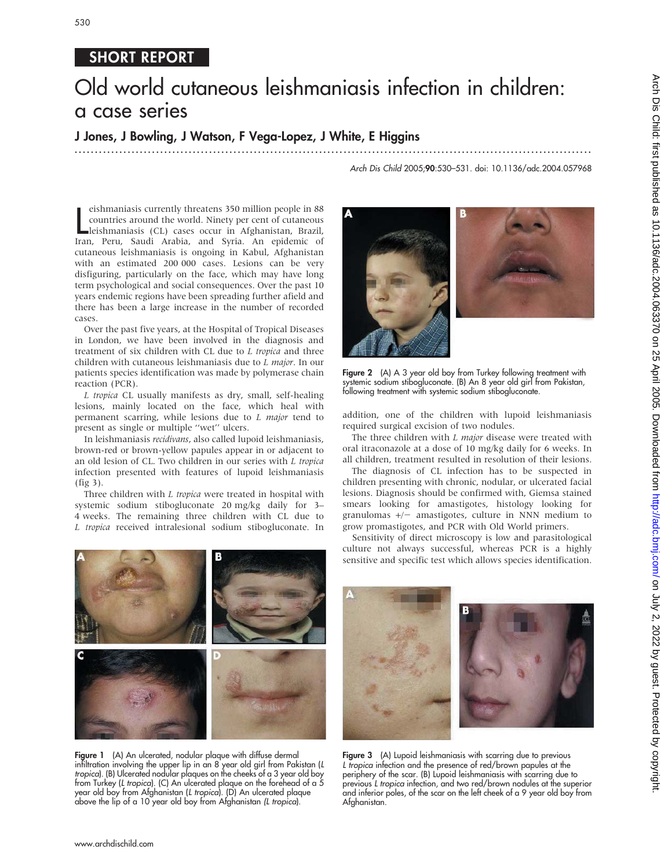### 530

#### SHORT REPORT

# Old world cutaneous leishmaniasis infection in children: a case series

#### J Jones, J Bowling, J Watson, F Vega-Lopez, J White, E Higgins

...............................................................................................................................

Arch Dis Child 2005;90:530–531. doi: 10.1136/adc.2004.057968

eishmaniasis currently threatens 350 million people in 88<br>
countries around the world. Ninety per cent of cutaneous<br>
leishmaniasis (CL) cases occur in Afghanistan, Brazil,<br>
Iran, Peru, Saudi Arabia, and Syria. An epidemic eishmaniasis currently threatens 350 million people in 88 countries around the world. Ninety per cent of cutaneous leishmaniasis (CL) cases occur in Afghanistan, Brazil, cutaneous leishmaniasis is ongoing in Kabul, Afghanistan with an estimated 200 000 cases. Lesions can be very disfiguring, particularly on the face, which may have long term psychological and social consequences. Over the past 10 years endemic regions have been spreading further afield and there has been a large increase in the number of recorded cases.

Over the past five years, at the Hospital of Tropical Diseases in London, we have been involved in the diagnosis and treatment of six children with CL due to L tropica and three children with cutaneous leishmaniasis due to L major. In our patients species identification was made by polymerase chain reaction (PCR).

L tropica CL usually manifests as dry, small, self-healing lesions, mainly located on the face, which heal with permanent scarring, while lesions due to L major tend to present as single or multiple ''wet'' ulcers.

In leishmaniasis recidivans, also called lupoid leishmaniasis, brown-red or brown-yellow papules appear in or adjacent to an old lesion of CL. Two children in our series with L tropica infection presented with features of lupoid leishmaniasis (fig 3).

Three children with *L tropica* were treated in hospital with systemic sodium stibogluconate 20 mg/kg daily for 3– 4 weeks. The remaining three children with CL due to L tropica received intralesional sodium stibogluconate. In





Figure 2 (A) A 3 year old boy from Turkey following treatment with systemic sodium stibogluconate. (B) An 8 year old girl from Pakistan, following treatment with systemic sodium stibogluconate.

addition, one of the children with lupoid leishmaniasis required surgical excision of two nodules.

The three children with  $L$  major disease were treated with oral itraconazole at a dose of 10 mg/kg daily for 6 weeks. In all children, treatment resulted in resolution of their lesions.

The diagnosis of CL infection has to be suspected in children presenting with chronic, nodular, or ulcerated facial lesions. Diagnosis should be confirmed with, Giemsa stained smears looking for amastigotes, histology looking for granulomas  $+/-$  amastigotes, culture in NNN medium to grow promastigotes, and PCR with Old World primers.

Sensitivity of direct microscopy is low and parasitological culture not always successful, whereas PCR is a highly sensitive and specific test which allows species identification.



Figure 1 (A) An ulcerated, nodular plaque with diffuse dermal infiltration involving the upper lip in an 8 year old girl from Pakistan (L tropica). (B) Ulcerated nodular plaques on the cheeks of a 3 year old boy from Turkey (L tropica). (C) An ulcerated plaque on the forehead of a 5 year old boy from Afghanistan (L tropica). (D) An ulcerated plaque above the lip of a 10 year old boy from Afghanistan (L tropica).



Figure 3 (A) Lupoid leishmaniasis with scarring due to previous L tropica infection and the presence of red/brown papules at the periphery of the scar. (B) Lupoid leishmaniasis with scarring due to previous L tropica infection, and two red/brown nodules at the superior and inferior poles, of the scar on the left cheek of a 9 year old boy from Afghanistan.